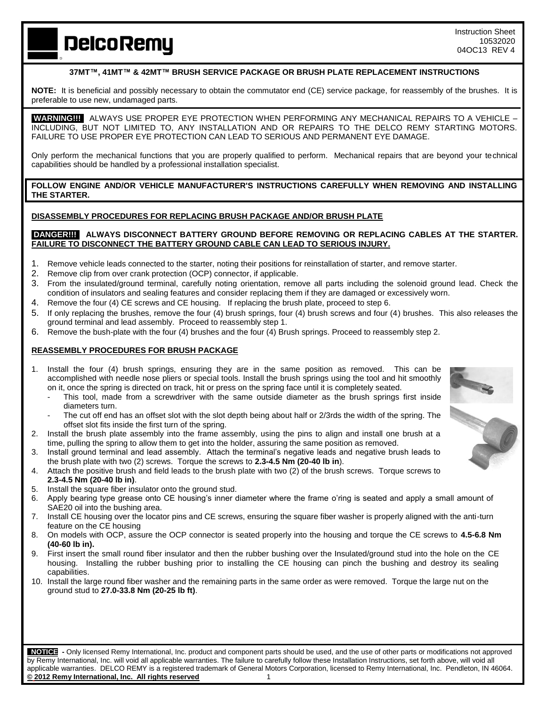**DelcoRemy** 

# **37MT™, 41MT™ & 42MT™ BRUSH SERVICE PACKAGE OR BRUSH PLATE REPLACEMENT INSTRUCTIONS**

**NOTE:** It is beneficial and possibly necessary to obtain the commutator end (CE) service package, for reassembly of the brushes. It is preferable to use new, undamaged parts.

 **WARNING!!!** ALWAYS USE PROPER EYE PROTECTION WHEN PERFORMING ANY MECHANICAL REPAIRS TO A VEHICLE – INCLUDING, BUT NOT LIMITED TO, ANY INSTALLATION AND OR REPAIRS TO THE DELCO REMY STARTING MOTORS. FAILURE TO USE PROPER EYE PROTECTION CAN LEAD TO SERIOUS AND PERMANENT EYE DAMAGE.

Only perform the mechanical functions that you are properly qualified to perform. Mechanical repairs that are beyond your technical capabilities should be handled by a professional installation specialist.

**FOLLOW ENGINE AND/OR VEHICLE MANUFACTURER'S INSTRUCTIONS CAREFULLY WHEN REMOVING AND INSTALLING THE STARTER.**

### **DISASSEMBLY PROCEDURES FOR REPLACING BRUSH PACKAGE AND/OR BRUSH PLATE**

#### **DANGER!!! ALWAYS DISCONNECT BATTERY GROUND BEFORE REMOVING OR REPLACING CABLES AT THE STARTER. FAILURE TO DISCONNECT THE BATTERY GROUND CABLE CAN LEAD TO SERIOUS INJURY.**

- 1. Remove vehicle leads connected to the starter, noting their positions for reinstallation of starter, and remove starter.
- 2. Remove clip from over crank protection (OCP) connector, if applicable.
- 3. From the insulated/ground terminal, carefully noting orientation, remove all parts including the solenoid ground lead. Check the condition of insulators and sealing features and consider replacing them if they are damaged or excessively worn.
- 4. Remove the four (4) CE screws and CE housing. If replacing the brush plate, proceed to step 6.
- 5. If only replacing the brushes, remove the four (4) brush springs, four (4) brush screws and four (4) brushes. This also releases the ground terminal and lead assembly. Proceed to reassembly step 1.
- 6. Remove the bush-plate with the four (4) brushes and the four (4) Brush springs. Proceed to reassembly step 2.

# **REASSEMBLY PROCEDURES FOR BRUSH PACKAGE**

- 1. Install the four (4) brush springs, ensuring they are in the same position as removed. This can be accomplished with needle nose pliers or special tools. Install the brush springs using the tool and hit smoothly on it, once the spring is directed on track, hit or press on the spring face until it is completely seated.
	- This tool, made from a screwdriver with the same outside diameter as the brush springs first inside diameters turn.
	- The cut off end has an offset slot with the slot depth being about half or 2/3rds the width of the spring. The offset slot fits inside the first turn of the spring.
- 2. Install the brush plate assembly into the frame assembly, using the pins to align and install one brush at a time, pulling the spring to allow them to get into the holder, assuring the same position as removed.
- 3. Install ground terminal and lead assembly. Attach the terminal's negative leads and negative brush leads to the brush plate with two (2) screws. Torque the screws to **2.3-4.5 Nm (20-40 lb in**).
- 4. Attach the positive brush and field leads to the brush plate with two (2) of the brush screws. Torque screws to **2.3-4.5 Nm (20-40 lb in)**.
- 5. Install the square fiber insulator onto the ground stud.
- 6. Apply bearing type grease onto CE housing's inner diameter where the frame o'ring is seated and apply a small amount of SAE20 oil into the bushing area.
- 7. Install CE housing over the locator pins and CE screws, ensuring the square fiber washer is properly aligned with the anti-turn feature on the CE housing
- 8. On models with OCP, assure the OCP connector is seated properly into the housing and torque the CE screws to **4.5-6.8 Nm (40-60 lb in).**
- 9. First insert the small round fiber insulator and then the rubber bushing over the Insulated/ground stud into the hole on the CE housing. Installing the rubber bushing prior to installing the CE housing can pinch the bushing and destroy its sealing capabilities.
- 10. Install the large round fiber washer and the remaining parts in the same order as were removed. Torque the large nut on the ground stud to **27.0-33.8 Nm (20-25 lb ft)**.

 **NOTICE -** Only licensed Remy International, Inc. product and component parts should be used, and the use of other parts or modifications not approved by Remy International, Inc. will void all applicable warranties. The failure to carefully follow these Installation Instructions, set forth above, will void all applicable warranties. DELCO REMY is a registered trademark of General Motors Corporation, licensed to Remy International, Inc. Pendleton, IN 46064. **© 2012 Remy International, Inc. All rights reserved** 1

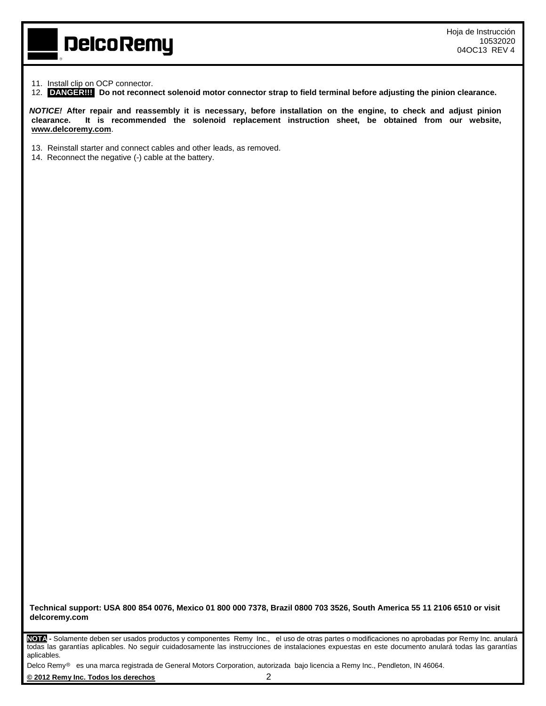#### 11. Install clip on OCP connector.

12. **DANGER!!! Do not reconnect solenoid motor connector strap to field terminal before adjusting the pinion clearance.**

*NOTICE!* **After repair and reassembly it is necessary, before installation on the engine, to check and adjust pinion clearance. It is recommended the solenoid replacement instruction sheet, be obtained from our website, [www.delcoremy.com](http://www.delcoremy.com/)**.

- 13. Reinstall starter and connect cables and other leads, as removed.
- 14. Reconnect the negative (-) cable at the battery.

**DelcoRemy** 

**Technical support: USA 800 854 0076, Mexico 01 800 000 7378, Brazil 0800 703 3526, South America 55 11 2106 6510 or visit delcoremy.com**

**NOTA -** Solamente deben ser usados productos y componentes Remy Inc., el uso de otras partes o modificaciones no aprobadas por Remy Inc. anulará todas las garantías aplicables. No seguir cuidadosamente las instrucciones de instalaciones expuestas en este documento anulará todas las garantías aplicables.

Delco Remy<sup>®</sup> es una marca registrada de General Motors Corporation, autorizada bajo licencia a Remy Inc., Pendleton, IN 46064.

**© 2012 Remy Inc. Todos los derechos** 2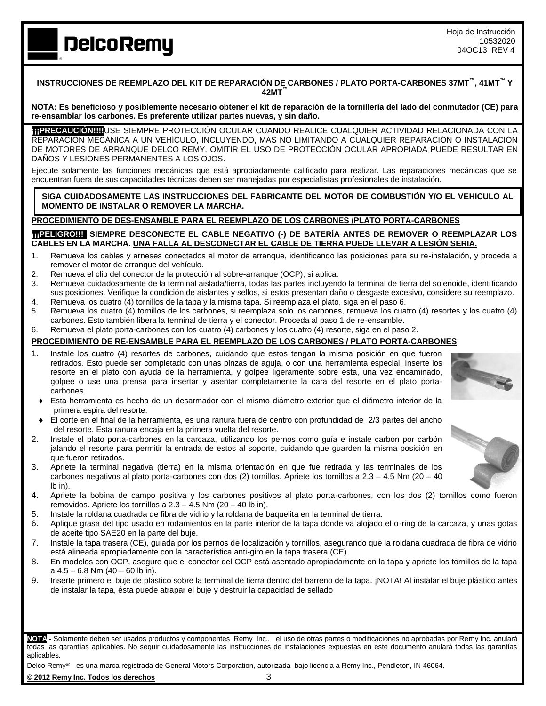Hoja de Instrucción 10532020 04OC13 REV 4

## **INSTRUCCIONES DE REEMPLAZO DEL KIT DE REPARACIÓN DE CARBONES / PLATO PORTA-CARBONES 37MT™ , 41MT™ Y 42MT™**

**NOTA: Es beneficioso y posiblemente necesario obtener el kit de reparación de la tornillería del lado del conmutador (CE) para re-ensamblar los carbones. Es preferente utilizar partes nuevas, y sin daño.**

**¡¡¡PRECAUCIÓN!!!!**USE SIEMPRE PROTECCIÓN OCULAR CUANDO REALICE CUALQUIER ACTIVIDAD RELACIONADA CON LA REPARACIÓN MECÁNICA A UN VEHÍCULO, INCLUYENDO, MÁS NO LIMITANDO A CUALQUIER REPARACIÓN O INSTALACIÓN DE MOTORES DE ARRANQUE DELCO REMY. OMITIR EL USO DE PROTECCIÓN OCULAR APROPIADA PUEDE RESULTAR EN DAÑOS Y LESIONES PERMANENTES A LOS OJOS.

Ejecute solamente las funciones mecánicas que está apropiadamente calificado para realizar. Las reparaciones mecánicas que se encuentran fuera de sus capacidades técnicas deben ser manejadas por especialistas profesionales de instalación.

**SIGA CUIDADOSAMENTE LAS INSTRUCCIONES DEL FABRICANTE DEL MOTOR DE COMBUSTIÓN Y/O EL VEHICULO AL MOMENTO DE INSTALAR O REMOVER LA MARCHA.**

## **PROCEDIMIENTO DE DES-ENSAMBLE PARA EL REEMPLAZO DE LOS CARBONES /PLATO PORTA-CARBONES**

**[11] ELIGRO!!! SIEMPRE DESCONECTE EL CABLE NEGATIVO (-) DE BATERÍA ANTES DE REMOVER O REEMPLAZAR LOS CABLES EN LA MARCHA. UNA FALLA AL DESCONECTAR EL CABLE DE TIERRA PUEDE LLEVAR A LESIÓN SERIA.**

- 1. Remueva los cables y arneses conectados al motor de arranque, identificando las posiciones para su re-instalación, y proceda a remover el motor de arranque del vehículo.
- 2. Remueva el clip del conector de la protección al sobre-arranque (OCP), si aplica.
- 3. Remueva cuidadosamente de la terminal aislada/tierra, todas las partes incluyendo la terminal de tierra del solenoide, identificando sus posiciones. Verifique la condición de aislantes y sellos, si estos presentan daño o desgaste excesivo, considere su reemplazo.
- 4. Remueva los cuatro (4) tornillos de la tapa y la misma tapa. Si reemplaza el plato, siga en el paso 6.
- 5. Remueva los cuatro (4) tornillos de los carbones, si reemplaza solo los carbones, remueva los cuatro (4) resortes y los cuatro (4) carbones. Esto también libera la terminal de tierra y el conector. Proceda al paso 1 de re-ensamble.
- 6. Remueva el plato porta-carbones con los cuatro (4) carbones y los cuatro (4) resorte, siga en el paso 2.

#### **PROCEDIMIENTO DE RE-ENSAMBLE PARA EL REEMPLAZO DE LOS CARBONES / PLATO PORTA-CARBONES**

- 1. Instale los cuatro (4) resortes de carbones, cuidando que estos tengan la misma posición en que fueron retirados. Esto puede ser completado con unas pinzas de aguja, o con una herramienta especial. Inserte los resorte en el plato con ayuda de la herramienta, y golpee ligeramente sobre esta, una vez encaminado, golpee o use una prensa para insertar y asentar completamente la cara del resorte en el plato portacarbones.
- Esta herramienta es hecha de un desarmador con el mismo diámetro exterior que el diámetro interior de la primera espira del resorte.
- El corte en el final de la herramienta, es una ranura fuera de centro con profundidad de 2/3 partes del ancho del resorte. Esta ranura encaja en la primera vuelta del resorte.
- 2. Instale el plato porta-carbones en la carcaza, utilizando los pernos como guía e instale carbón por carbón jalando el resorte para permitir la entrada de estos al soporte, cuidando que guarden la misma posición en que fueron retirados.
- 3. Apriete la terminal negativa (tierra) en la misma orientación en que fue retirada y las terminales de los carbones negativos al plato porta-carbones con dos (2) tornillos. Apriete los tornillos a 2.3 – 4.5 Nm (20 – 40 lb in).
- 4. Apriete la bobina de campo positiva y los carbones positivos al plato porta-carbones, con los dos (2) tornillos como fueron removidos. Apriete los tornillos a 2.3 – 4.5 Nm (20 – 40 lb in).
- 5. Instale la roldana cuadrada de fibra de vidrio y la roldana de baquelita en la terminal de tierra.
- 6. Aplique grasa del tipo usado en rodamientos en la parte interior de la tapa donde va alojado el o-ring de la carcaza, y unas gotas de aceite tipo SAE20 en la parte del buje.
- 7. Instale la tapa trasera (CE), guiada por los pernos de localización y tornillos, asegurando que la roldana cuadrada de fibra de vidrio está alineada apropiadamente con la característica anti-giro en la tapa trasera (CE).
- 8. En modelos con OCP, asegure que el conector del OCP está asentado apropiadamente en la tapa y apriete los tornillos de la tapa a 4.5 – 6.8 Nm (40 – 60 lb in).
- 9. Inserte primero el buje de plástico sobre la terminal de tierra dentro del barreno de la tapa. ¡NOTA! Al instalar el buje plástico antes de instalar la tapa, ésta puede atrapar el buje y destruir la capacidad de sellado

**NOTA -** Solamente deben ser usados productos y componentes Remy Inc., el uso de otras partes o modificaciones no aprobadas por Remy Inc. anulará todas las garantías aplicables. No seguir cuidadosamente las instrucciones de instalaciones expuestas en este documento anulará todas las garantías aplicables.

Delco Remy<sup>®</sup> es una marca registrada de General Motors Corporation, autorizada bajo licencia a Remy Inc., Pendleton, IN 46064.

**© 2012 Remy Inc. Todos los derechos** 3







# **DelcoRemy**